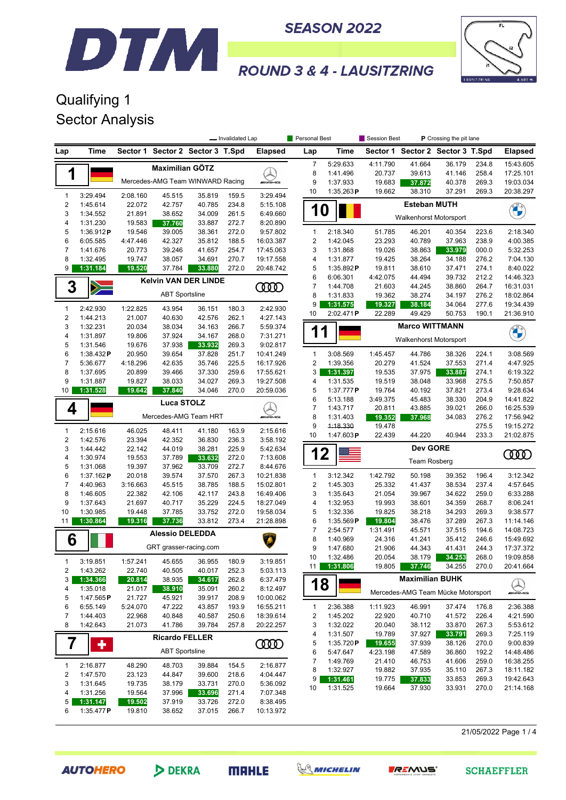



## **ROUND 3 & 4 - LAUSITZRING**

## Qualifying 1 Sector Analysis

DTM

|                                  |                       | - Invalidated Lap  |                        |                                  |                |                        | Personal Best                |                       | Session Best<br><b>P</b> Crossing the pit lane |                                    |                  |                |                            |
|----------------------------------|-----------------------|--------------------|------------------------|----------------------------------|----------------|------------------------|------------------------------|-----------------------|------------------------------------------------|------------------------------------|------------------|----------------|----------------------------|
| Lap                              | Time                  |                    |                        | Sector 1 Sector 2 Sector 3 T.Spd |                | <b>Elapsed</b>         | Lap                          | Time                  |                                                | Sector 1 Sector 2 Sector 3 T.Spd   |                  |                | <b>Elapsed</b>             |
|                                  |                       |                    | <b>Maximilian GÖTZ</b> |                                  |                |                        | $\overline{7}$               | 5:29.633              | 4:11.790                                       | 41.664                             | 36.179           | 234.8          | 15:43.605                  |
| 1                                |                       |                    |                        |                                  |                |                        | 8                            | 1:41.496              | 20.737                                         | 39.613                             | 41.146           | 258.4          | 17:25.101                  |
|                                  |                       |                    |                        | Mercedes-AMG Team WINWARD Racing |                | <b>WAMG</b>            | 9                            | 1:37.933              | 19.683                                         | 37.872                             | 40.378           | 269.3          | 19:03.034                  |
| $\mathbf{1}$                     | 3:29.494              | 2:08.160           | 45.515                 | 35.819                           | 159.5          | 3:29.494               | 10                           | 1:35.263P             | 19.662                                         | 38.310                             | 37.291           | 269.3          | 20:38.297                  |
| $\boldsymbol{2}$                 | 1:45.614              | 22.072             | 42.757                 | 40.785                           | 234.8          | 5:15.108               |                              |                       |                                                | <b>Esteban MUTH</b>                |                  |                |                            |
| 3                                | 1:34.552              | 21.891             | 38.652                 | 34.009                           | 261.5          | 6:49.660               | 1                            | 0                     |                                                |                                    |                  |                | <b>CERTIFICATE</b>         |
| 4                                | 1:31.230              | 19.583             | 37.760                 | 33.887                           | 272.7          | 8:20.890               |                              |                       |                                                | <b>Walkenhorst Motorsport</b>      |                  |                |                            |
| 5                                | 1:36.912P             | 19.546             | 39.005                 | 38.361                           | 272.0          | 9:57.802               | 1                            | 2:18.340              | 51.785                                         | 46.201                             | 40.354           | 223.6          | 2:18.340                   |
| 6                                | 6:05.585              | 4:47.446           | 42.327                 | 35.812                           | 188.5          | 16:03.387              | 2                            | 1:42.045              | 23.293                                         | 40.789                             | 37.963           | 238.9          | 4:00.385                   |
| 7                                | 1:41.676              | 20.773             | 39.246                 | 41.657                           | 254.7          | 17:45.063              | 3                            | 1:31.868              | 19.026                                         | 38.863                             | 33.979           | 000.0          | 5:32.253                   |
| 8                                | 1:32.495              | 19.747             | 38.057                 | 34.691                           | 270.7          | 19:17.558              | 4                            | 1:31.877              | 19.425                                         | 38.264                             | 34.188           | 276.2          | 7:04.130                   |
| 9                                | 1:31.184              | 19.520             | 37.784                 | 33.880                           | 272.0          | 20:48.742              | 5                            | 1:35.892P             | 19.811                                         | 38.610                             | 37.471           | 274.1          | 8:40.022                   |
|                                  |                       |                    |                        | <b>Kelvin VAN DER LINDE</b>      |                |                        | 6                            | 6:06.301              | 4:42.075                                       | 44.494                             | 39.732           | 212.2          | 14:46.323                  |
| 3                                | $\geqslant$           |                    | <b>ABT Sportsline</b>  |                                  |                | <b>COOD</b>            | $\overline{7}$               | 1:44.708              | 21.603                                         | 44.245                             | 38.860           | 264.7          | 16:31.031                  |
|                                  |                       |                    |                        |                                  |                |                        | 8                            | 1:31.833              | 19.362                                         | 38.274                             | 34.197           | 276.2          | 18:02.864                  |
| 1                                | 2:42.930              | 1:22.825           | 43.954                 | 36.151                           | 180.3          | 2:42.930               | 9<br>10                      | 1:31.575<br>2:02.471P | 19.327<br>22.289                               | 38.184<br>49.429                   | 34.064           | 277.6          | 19:34.439<br>21:36.910     |
| $\boldsymbol{2}$                 | 1:44.213              | 21.007             | 40.630                 | 42.576                           | 262.1          | 4:27.143               |                              |                       |                                                |                                    | 50.753           | 190.1          |                            |
| 3                                | 1:32.231              | 20.034             | 38.034                 | 34.163                           | 266.7          | 5:59.374               | 1                            | 1                     |                                                | <b>Marco WITTMANN</b>              |                  |                | <b>CHANGE</b>              |
| 4                                | 1:31.897              | 19.806             | 37.924                 | 34.167                           | 268.0          | 7:31.271               |                              |                       |                                                | <b>Walkenhorst Motorsport</b>      |                  |                |                            |
| 5                                | 1:31.546              | 19.676             | 37.938                 | 33.932                           | 269.3          | 9:02.817               |                              |                       |                                                |                                    |                  |                |                            |
| 6                                | 1:38.432 $P$          | 20.950             | 39.654                 | 37.828                           | 251.7          | 10:41.249              | $\mathbf{1}$                 | 3:08.569              | 1:45.457                                       | 44.786                             | 38.326           | 224.1          | 3:08.569                   |
| $\boldsymbol{7}$<br>8            | 5:36.677<br>1:37.695  | 4:18.296<br>20.899 | 42.635                 | 35.746<br>37.330                 | 225.5<br>259.6 | 16:17.926<br>17:55.621 | $\overline{\mathbf{c}}$<br>3 | 1:39.356              | 20.279<br>19.535                               | 41.524<br>37.975                   | 37.553           | 271.4<br>274.1 | 4:47.925<br>6:19.322       |
| 9                                | 1:31.887              | 19.827             | 39.466<br>38.033       | 34.027                           | 269.3          | 19:27.508              | 4                            | 1:31.397<br>1:31.535  | 19.519                                         | 38.048                             | 33.887<br>33.968 | 275.5          | 7:50.857                   |
| 10                               | 1:31.528              | 19.642             | 37.840                 | 34.046                           | 270.0          | 20:59.036              | 5                            | 1:37.777P             | 19.764                                         | 40.192                             | 37.821           | 273.4          | 9:28.634                   |
|                                  |                       |                    |                        |                                  |                |                        | 6                            | 5:13.188              | 3:49.375                                       | 45.483                             | 38.330           | 204.9          | 14:41.822                  |
| 4                                |                       |                    | <b>Luca STOLZ</b>      |                                  |                |                        | $\overline{7}$               | 1:43.717              | 20.811                                         | 43.885                             | 39.021           | 266.0          | 16:25.539                  |
|                                  |                       |                    |                        | Mercedes-AMG Team HRT            |                | <b><i>INNE</i></b>     | 8                            | 1:31.403              | 19.352                                         | 37.968                             | 34.083           | 276.2          | 17:56.942                  |
|                                  |                       |                    |                        |                                  |                |                        | 9                            | 1:18.330              | 19.478                                         |                                    |                  | 275.5          | 19:15.272                  |
| $\mathbf{1}$<br>$\boldsymbol{2}$ | 2:15.616<br>1:42.576  | 46.025<br>23.394   | 48.411<br>42.352       | 41.180<br>36.830                 | 163.9<br>236.3 | 2:15.616<br>3:58.192   | 10                           | 1:47.603P             | 22.439                                         | 44.220                             | 40.944           | 233.3          | 21:02.875                  |
| 3                                | 1:44.442              | 22.142             | 44.019                 | 38.281                           | 225.9          | 5:42.634               |                              |                       |                                                | Dev GORE                           |                  |                |                            |
| $\overline{4}$                   | 1:30.974              | 19.553             | 37.789                 | 33.632                           | 272.0          | 7:13.608               | 1                            | $\mathbf 2$           |                                                |                                    |                  |                | ŒŒ                         |
| 5                                | 1:31.068              | 19.397             | 37.962                 | 33.709                           | 272.7          | 8:44.676               |                              |                       |                                                | <b>Team Rosberg</b>                |                  |                |                            |
| 6                                | 1:37.162P             | 20.018             | 39.574                 | 37.570                           | 267.3          | 10:21.838              | $\mathbf{1}$                 | 3:12.342              | 1:42.792                                       | 50.198                             | 39.352           | 196.4          | 3:12.342                   |
| $\boldsymbol{7}$                 | 4:40.963              | 3:16.663           | 45.515                 | 38.785                           | 188.5          | 15:02.801              | $\overline{\mathbf{c}}$      | 1:45.303              | 25.332                                         | 41.437                             | 38.534           | 237.4          | 4:57.645                   |
| 8                                | 1:46.605              | 22.382             | 42.106                 | 42.117                           | 243.8          | 16:49.406              | 3                            | 1:35.643              | 21.054                                         | 39.967                             | 34.622           | 259.0          | 6:33.288                   |
| 9                                | 1:37.643              | 21.697             | 40.717                 | 35.229                           | 224.5          | 18:27.049              | 4                            | 1:32.953              | 19.993                                         | 38.601                             | 34.359           | 268.7          | 8:06.241                   |
| 10                               | 1:30.985              | 19.448             | 37.785                 | 33.752                           | 272.0          | 19:58.034              | 5                            | 1:32.336              | 19.825                                         | 38.218                             | 34.293           | 269.3          | 9:38.577                   |
| 11                               | 1:30.864              | 19.316             | 37.736                 | 33.812                           | 273.4          | 21:28.898              | 6                            | 1:35.569P             | 19.804                                         | 38.476                             | 37.289           | 267.3          | 11:14.146                  |
|                                  |                       |                    | <b>Alessio DELEDDA</b> |                                  |                |                        | $\overline{7}$<br>8          | 2:54.577              | 1:31.491                                       | 45.571                             | 37.515           | 194.6          | 14:08.723                  |
| 6                                |                       |                    | GRT grasser-racing.com |                                  |                |                        | 9                            | 1:40.969<br>1:47.680  | 24.316<br>21.906                               | 41.241<br>44.343                   | 35.412<br>41.431 | 246.6<br>244.3 | 15:49.692<br>17:37.372     |
|                                  |                       |                    |                        |                                  |                |                        | 10                           | 1:32.486              | 20.054                                         | 38.179                             | 34.253           | 268.0          | 19:09.858                  |
| $\mathbf{1}$                     | 3:19.851              | 1:57.241           | 45.655                 | 36.955                           | 180.9          | 3:19.851               | 11                           | 1:31.806              | 19.805                                         | 37.746                             | 34.255           | 270.0          | 20:41.664                  |
| 2                                | 1:43.262              | 22.740             | 40.505                 | 40.017                           | 252.3          | 5:03.113               |                              |                       |                                                |                                    |                  |                |                            |
| 3                                | 1:34.366              | 20.814             | 38.935                 | 34.617                           | 262.8          | 6:37.479               | 18                           |                       |                                                | <b>Maximilian BUHK</b>             |                  |                | $\left( \mathbb{A}\right)$ |
| 4<br>5                           | 1:35.018<br>1:47.565P | 21.017<br>21.727   | 38.910<br>45.921       | 35.091<br>39.917                 | 260.2<br>208.9 | 8:12.497<br>10:00.062  |                              |                       |                                                | Mercedes-AMG Team Mücke Motorsport |                  |                | <b>WAMG</b>                |
| 6                                | 6:55.149              | 5:24.070           | 47.222                 | 43.857                           | 193.9          | 16:55.211              | $\mathbf{1}$                 | 2:36.388              | 1:11.923                                       | 46.991                             | 37.474           | 176.8          | 2:36.388                   |
| $\boldsymbol{7}$                 | 1:44.403              | 22.968             | 40.848                 | 40.587                           | 250.6          | 18:39.614              | 2                            | 1:45.202              | 22.920                                         | 40.710                             | 41.572           | 226.4          | 4:21.590                   |
| 8                                | 1:42.643              | 21.073             | 41.786                 | 39.784                           | 257.8          | 20:22.257              | 3                            | 1:32.022              | 20.040                                         | 38.112                             | 33.870           | 267.3          | 5:53.612                   |
|                                  |                       |                    | <b>Ricardo FELLER</b>  |                                  |                |                        | 4                            | 1:31.507              | 19.789                                         | 37.927                             | 33.791           | 269.3          | 7:25.119                   |
| 7                                | ٠                     |                    |                        |                                  |                | ഝ                      | 5                            | 1:35.720P             | 19.655                                         | 37.939                             | 38.126           | 270.0          | 9:00.839                   |
|                                  |                       |                    | <b>ABT Sportsline</b>  |                                  |                |                        | 6                            | 5:47.647              | 4:23.198                                       | 47.589                             | 36.860           | 192.2          | 14:48.486                  |
| $\mathbf{1}$                     | 2:16.877              | 48.290             | 48.703                 | 39.884                           | 154.5          | 2:16.877               | 7                            | 1:49.769              | 21.410                                         | 46.753                             | 41.606           | 259.0          | 16:38.255                  |
| $\overline{\mathbf{c}}$          | 1:47.570              | 23.123             | 44.847                 | 39.600                           | 218.6          | 4:04.447               | 8                            | 1:32.927              | 19.882                                         | 37.935                             | 35.110           | 267.3          | 18:11.182                  |
| 3                                | 1:31.645              | 19.735             | 38.179                 | 33.731                           | 270.0          | 5:36.092               | 9                            | 1:31.461              | 19.775                                         | 37.833                             | 33.853           | 269.3          | 19:42.643                  |
| 4                                | 1:31.256              | 19.564             | 37.996                 | 33.696                           | 271.4          | 7:07.348               | 10                           | 1:31.525              | 19.664                                         | 37.930                             | 33.931           | 270.0          | 21:14.168                  |
| 5                                | 1:31.147              | 19.502             | 37.919                 | 33.726                           | 272.0          | 8:38.495               |                              |                       |                                                |                                    |                  |                |                            |
| 6                                | 1:35.477 $P$          | 19.810             | 38.652                 | 37.015                           | 266.7          | 10:13.972              |                              |                       |                                                |                                    |                  |                |                            |

21/05/2022 Page 1 / 4





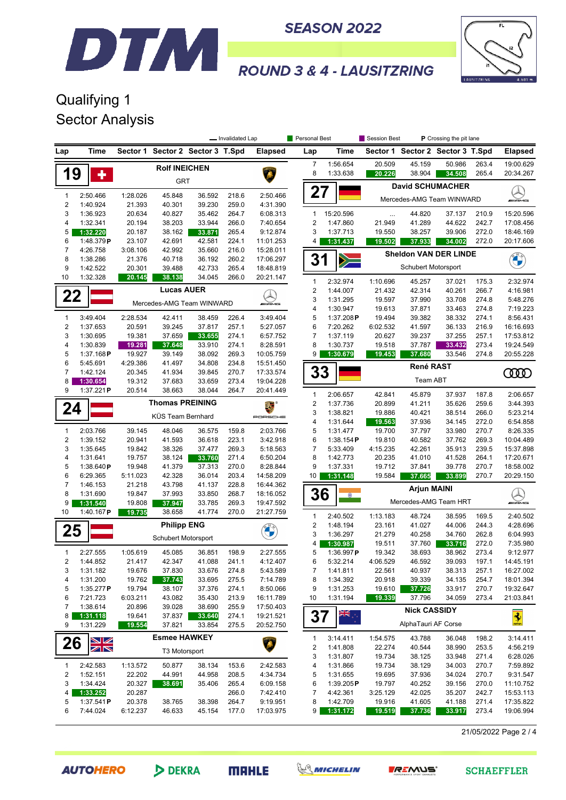



# **ROUND 3 & 4 - LAUSITZRING**

## Qualifying 1 Sector Analysis

DTM

|                                  |                       |                  |                           |                         | - Invalidated Lap |                        | Personal Best                  |                       | Session Best       |                     | P Crossing the pit lane          |                |                           |
|----------------------------------|-----------------------|------------------|---------------------------|-------------------------|-------------------|------------------------|--------------------------------|-----------------------|--------------------|---------------------|----------------------------------|----------------|---------------------------|
| Lap                              | Time                  | Sector 1         |                           | Sector 2 Sector 3 T.Spd |                   | <b>Elapsed</b>         | Lap                            | Time                  |                    |                     | Sector 1 Sector 2 Sector 3 T.Spd |                | <b>Elapsed</b>            |
|                                  |                       |                  | <b>Rolf INEICHEN</b>      |                         |                   |                        | 7                              | 1:56.654              | 20.509             | 45.159              | 50.986                           | 263.4          | 19:00.629                 |
| 19                               | ٠                     |                  |                           |                         |                   |                        | 8                              | 1:33.638              | 20.226             | 38.904              | 34.508                           | 265.4          | 20:34.267                 |
|                                  |                       |                  | GRT                       |                         |                   |                        |                                |                       |                    |                     | <b>David SCHUMACHER</b>          |                | $\mathbb{Z}$              |
| $\mathbf{1}$                     | 2:50.466              | 1:28.026         | 45.848                    | 36.592                  | 218.6             | 2:50.466               | 27                             |                       |                    |                     | Mercedes-AMG Team WINWARD        |                | <b>WAMG</b>               |
| $\overline{\mathbf{c}}$          | 1:40.924              | 21.393           | 40.301                    | 39.230                  | 259.0             | 4:31.390               |                                |                       |                    |                     |                                  |                |                           |
| 3<br>4                           | 1:36.923<br>1:32.341  | 20.634<br>20.194 | 40.827<br>38.203          | 35.462<br>33.944        | 264.7<br>266.0    | 6:08.313<br>7:40.654   | $\mathbf{1}$<br>$\overline{2}$ | 15:20.596<br>1:47.860 | $\cdots$<br>21.949 | 44.820<br>41.289    | 37.137<br>44.622                 | 210.9<br>242.7 | 15:20.596<br>17:08.456    |
| 5                                | 1:32.220              | 20.187           | 38.162                    | 33.871                  | 265.4             | 9:12.874               | 3                              | 1:37.713              | 19.550             | 38.257              | 39.906                           | 272.0          | 18:46.169                 |
| 6                                | 1:48.379P             | 23.107           | 42.691                    | 42.581                  | 224.1             | 11:01.253              | 4                              | 1:31.437              | 19.502             | 37.933              | 34.002                           | 272.0          | 20:17.606                 |
| 7                                | 4:26.758              | 3:08.106         | 42.992                    | 35.660                  | 216.0             | 15:28.011              |                                |                       |                    |                     | <b>Sheldon VAN DER LINDE</b>     |                |                           |
| 8                                | 1:38.286              | 21.376           | 40.718                    | 36.192                  | 260.2             | 17:06.297              | 31                             | $\geq$                |                    |                     |                                  |                |                           |
| 9                                | 1:42.522              | 20.301           | 39.488                    | 42.733                  | 265.4             | 18:48.819              |                                |                       |                    | Schubert Motorsport |                                  |                |                           |
| 10                               | 1:32.328              | 20.145           | 38.138                    | 34.045                  | 266.0             | 20:21.147              | 1                              | 2:32.974              | 1:10.696           | 45.257              | 37.021                           | 175.3          | 2:32.974                  |
| 22                               |                       |                  | <b>Lucas AUER</b>         |                         |                   |                        | $\overline{\mathbf{c}}$        | 1:44.007              | 21.432             | 42.314              | 40.261                           | 266.7          | 4:16.981                  |
|                                  |                       |                  | Mercedes-AMG Team WINWARD |                         |                   | <b><i>INNE</i></b>     | 3                              | 1:31.295              | 19.597             | 37.990              | 33.708                           | 274.8          | 5:48.276                  |
|                                  |                       |                  |                           |                         |                   |                        | 4                              | 1:30.947              | 19.613             | 37.871              | 33.463                           | 274.8          | 7:19.223                  |
| 1<br>$\overline{2}$              | 3:49.404<br>1:37.653  | 2:28.534         | 42.411                    | 38.459<br>37.817        | 226.4<br>257.1    | 3:49.404               | 5                              | 1:37.208P<br>7:20.262 | 19.494             | 39.382              | 38.332                           | 274.1          | 8:56.431                  |
| 3                                | 1:30.695              | 20.591<br>19.381 | 39.245<br>37.659          | 33.655                  | 274.1             | 5:27.057<br>6:57.752   | 6<br>$\overline{7}$            | 1:37.119              | 6:02.532<br>20.627 | 41.597<br>39.237    | 36.133<br>37.255                 | 216.9<br>257.1 | 16:16.693<br>17:53.812    |
| 4                                | 1:30.839              | 19.281           | 37.648                    | 33.910                  | 274.1             | 8:28.591               | 8                              | 1:30.737              | 19.518             | 37.787              | 33.432                           | 273.4          | 19:24.549                 |
| 5                                | 1:37.168P             | 19.927           | 39.149                    | 38.092                  | 269.3             | 10:05.759              | 9                              | 1:30.679              | 19.453             | 37.680              | 33.546                           | 274.8          | 20:55.228                 |
| 6                                | 5:45.691              | 4:29.386         | 41.497                    | 34.808                  | 234.8             | 15:51.450              |                                |                       |                    | René RAST           |                                  |                |                           |
| $\overline{7}$                   | 1:42.124              | 20.345           | 41.934                    | 39.845                  | 270.7             | 17:33.574              | 33                             |                       |                    |                     |                                  |                | <b>COO</b>                |
| 8                                | 1:30.654              | 19.312           | 37.683                    | 33.659                  | 273.4             | 19:04.228              |                                |                       |                    | Team ABT            |                                  |                |                           |
| 9                                | 1:37.221P             | 20.514           | 38.663                    | 38.044                  | 264.7             | 20:41.449              | $\mathbf{1}$                   | 2:06.657              | 42.841             | 45.879              | 37.937                           | 187.8          | 2:06.657                  |
| 24                               |                       |                  | <b>Thomas PREINING</b>    |                         |                   | š.                     | $\overline{2}$                 | 1:37.736              | 20.899             | 41.211              | 35.626                           | 259.6          | 3:44.393                  |
|                                  |                       |                  | KÜS Team Bernhard         |                         |                   | PORSCHE                | 3                              | 1:38.821              | 19.886             | 40.421              | 38.514                           | 266.0          | 5:23.214                  |
|                                  |                       |                  |                           |                         |                   |                        | 4<br>5                         | 1:31.644              | 19.563             | 37.936              | 34.145                           | 272.0          | 6:54.858                  |
| $\mathbf{1}$<br>$\boldsymbol{2}$ | 2:03.766<br>1:39.152  | 39.145<br>20.941 | 48.046<br>41.593          | 36.575<br>36.618        | 159.8<br>223.1    | 2:03.766<br>3:42.918   | 6                              | 1:31.477<br>1:38.154P | 19.700<br>19.810   | 37.797<br>40.582    | 33.980<br>37.762                 | 270.7<br>269.3 | 8:26.335<br>10:04.489     |
| 3                                | 1:35.645              | 19.842           | 38.326                    | 37.477                  | 269.3             | 5:18.563               | $\overline{7}$                 | 5:33.409              | 4:15.235           | 42.261              | 35.913                           | 239.5          | 15:37.898                 |
| 4                                | 1:31.641              | 19.757           | 38.124                    | 33.760                  | 271.4             | 6:50.204               | 8                              | 1:42.773              | 20.235             | 41.010              | 41.528                           | 264.1          | 17:20.671                 |
| 5                                | 1:38.640P             | 19.948           | 41.379                    | 37.313                  | 270.0             | 8:28.844               | 9                              | 1:37.331              | 19.712             | 37.841              | 39.778                           | 270.7          | 18:58.002                 |
| 6                                | 6:29.365              | 5:11.023         | 42.328                    | 36.014                  | 203.4             | 14:58.209              | 10                             | 1:31.148              | 19.584             | 37.665              | 33.899                           | 270.7          | 20:29.150                 |
| 7                                | 1:46.153              | 21.218           | 43.798                    | 41.137                  | 228.8             | 16:44.362              |                                |                       |                    | <b>Arjun MAINI</b>  |                                  |                |                           |
| 8<br>9                           | 1:31.690              | 19.847<br>19.808 | 37.993                    | 33.850                  | 268.7             | 18:16.052              | 36                             | $\circ$               |                    |                     | Mercedes-AMG Team HRT            |                | ليگ<br><b><i>INNE</i></b> |
| 10                               | 1:31.540<br>1:40.167P | 19.735           | 37.947<br>38.658          | 33.785<br>41.774        | 269.3<br>270.0    | 19:47.592<br>21:27.759 |                                |                       |                    |                     |                                  |                |                           |
|                                  |                       |                  |                           |                         |                   |                        | $\mathbf{1}$                   | 2:40.502              | 1:13.183           | 48.724              | 38.595                           | 169.5          | 2:40.502                  |
| 25                               |                       |                  | <b>Philipp ENG</b>        |                         |                   |                        | $\overline{\mathbf{c}}$        | 1:48.194              | 23.161             | 41.027              | 44.006                           | 244.3          | 4:28.696                  |
|                                  |                       |                  | Schubert Motorsport       |                         |                   |                        | 3<br>4                         | 1:36.297<br>1:30.987  | 21.279<br>19.511   | 40.258<br>37.760    | 34.760<br>33.716                 | 262.8<br>272.0 | 6:04.993<br>7:35.980      |
| 1                                | 2:27.555              | 1:05.619         | 45.085                    | 36.851                  | 198.9             | 2:27.555               | 5                              | 1:36.997 $P$          | 19.342             | 38.693              | 38.962                           | 273.4          | 9:12.977                  |
| 2                                | 1:44.852              | 21.417           | 42.347                    | 41.088                  | 241.1             | 4:12.407               | 6                              | 5:32.214              | 4:06.529           | 46.592              | 39.093                           | 197.1          | 14:45.191                 |
| 3                                | 1:31.182              | 19.676           | 37.830                    | 33.676                  | 274.8             | 5:43.589               | 7                              | 1:41.811              | 22.561             | 40.937              | 38.313                           | 257.1          | 16:27.002                 |
| 4                                | 1:31.200              | 19.762           | 37.743                    | 33.695                  | 275.5             | 7:14.789               | 8                              | 1:34.392              | 20.918             | 39.339              | 34.135                           | 254.7          | 18:01.394                 |
| 5                                | 1:35.277P             | 19.794           | 38.107                    | 37.376                  | 274.1             | 8:50.066               | 9                              | 1:31.253              | 19.610             | 37.726              | 33.917                           | 270.7          | 19:32.647                 |
| 6                                | 7:21.723              | 6:03.211         | 43.082                    | 35.430                  | 213.9             | 16:11.789              | 10                             | 1:31.194              | 19.339             | 37.796              | 34.059                           | 273.4          | 21:03.841                 |
| 7<br>8                           | 1:38.614              | 20.896<br>19.641 | 39.028<br>37.837          | 38.690<br>33.640        | 255.9             | 17:50.403<br>19:21.521 |                                | RK <sup>16</sup>      |                    | <b>Nick CASSIDY</b> |                                  |                |                           |
| 9                                | 1:31.118<br>1:31.229  | 19.554           | 37.821                    | 33.854                  | 274.1<br>275.5    | 20:52.750              | 37                             |                       |                    | AlphaTauri AF Corse |                                  |                | $\frac{1}{2}$             |
|                                  |                       |                  |                           |                         |                   |                        |                                |                       |                    |                     |                                  |                |                           |
| 26                               | W                     |                  | <b>Esmee HAWKEY</b>       |                         |                   |                        | 1<br>2                         | 3:14.411<br>1:41.808  | 1:54.575<br>22.274 | 43.788<br>40.544    | 36.048<br>38.990                 | 198.2<br>253.5 | 3:14.411<br>4:56.219      |
|                                  | ZN                    |                  | T3 Motorsport             |                         |                   |                        | 3                              | 1:31.807              | 19.734             | 38.125              | 33.948                           | 271.4          | 6:28.026                  |
| $\mathbf{1}$                     | 2:42.583              | 1:13.572         | 50.877                    | 38.134                  | 153.6             | 2:42.583               | 4                              | 1:31.866              | 19.734             | 38.129              | 34.003                           | 270.7          | 7:59.892                  |
| $\overline{\mathbf{c}}$          | 1:52.151              | 22.202           | 44.991                    | 44.958                  | 208.5             | 4:34.734               | 5                              | 1:31.655              | 19.695             | 37.936              | 34.024                           | 270.7          | 9:31.547                  |
| 3                                | 1:34.424              | 20.327           | 38.691                    | 35.406                  | 265.4             | 6:09.158               | 6                              | 1:39.205P             | 19.797             | 40.252              | 39.156                           | 270.0          | 11:10.752                 |
| 4                                | 1:33.252              | 20.287           |                           |                         | 266.0             | 7:42.410               | $\overline{7}$                 | 4:42.361              | 3:25.129           | 42.025              | 35.207                           | 242.7          | 15:53.113                 |
| 5                                | 1:37.541P             | 20.378           | 38.765                    | 38.398                  | 264.7             | 9:19.951               | 8                              | 1:42.709              | 19.916             | 41.605              | 41.188                           | 271.4          | 17:35.822                 |
| 6                                | 7:44.024              | 6:12.237         | 46.633                    | 45.154                  | 177.0             | 17:03.975              | 9                              | 1:31.172              | 19.519             | 37.736              | 33.917                           | 273.4          | 19:06.994                 |

21/05/2022 Page 2 / 4

**AUTOHERO** 

DEKRA



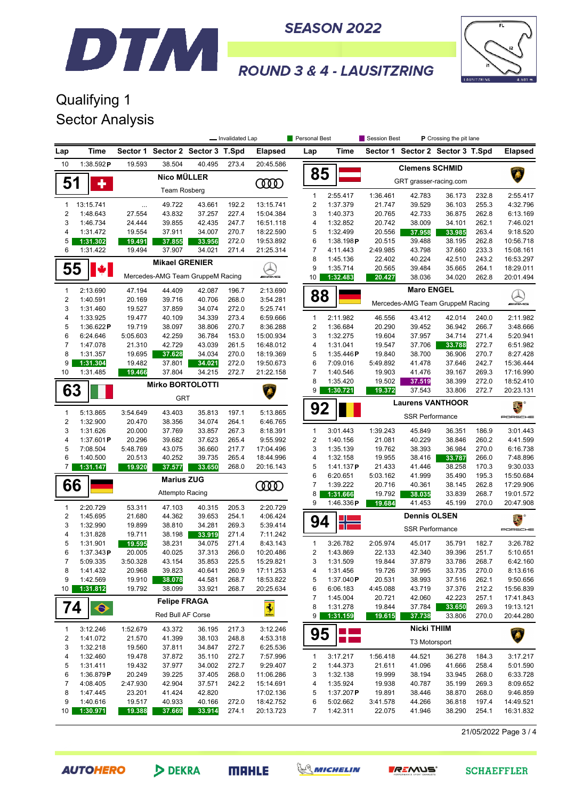



# **ROUND 3 & 4 - LAUSITZRING**

## Qualifying 1 Sector Analysis

|                                         |                       |                    | Personal Best<br>Session Best<br><b>P</b> Crossing the pit lane<br>- Invalidated Lap |                                  |                |                        |                         |                          |                        |                        |                                  |                |                        |
|-----------------------------------------|-----------------------|--------------------|--------------------------------------------------------------------------------------|----------------------------------|----------------|------------------------|-------------------------|--------------------------|------------------------|------------------------|----------------------------------|----------------|------------------------|
| Lap                                     | Time                  |                    |                                                                                      | Sector 1 Sector 2 Sector 3 T.Spd |                | <b>Elapsed</b>         | Lap                     | Time                     |                        |                        | Sector 1 Sector 2 Sector 3 T.Spd |                | <b>Elapsed</b>         |
| 10                                      | 1:38.592P             | 19.593             | 38.504                                                                               | 40.495                           | 273.4          | 20:45.586              |                         |                          |                        | <b>Clemens SCHMID</b>  |                                  |                |                        |
| 51                                      | ٠                     | <b>Nico MÜLLER</b> |                                                                                      |                                  |                | 0000                   | 85                      |                          | GRT grasser-racing.com |                        |                                  |                |                        |
|                                         |                       |                    | Team Rosberg                                                                         |                                  |                |                        | $\mathbf{1}$            | 2:55.417                 | 1:36.461               | 42.783                 | 36.173                           | 232.8          | 2:55.417               |
| $\mathbf{1}$                            | 13:15.741             | $\cdots$           | 49.722                                                                               | 43.661                           | 192.2          | 13:15.741              | $\overline{\mathbf{c}}$ | 1:37.379                 | 21.747                 | 39.529                 | 36.103                           | 255.3          | 4:32.796               |
| $\overline{2}$                          | 1:48.643              | 27.554             | 43.832                                                                               | 37.257                           | 227.4          | 15:04.384              | 3                       | 1:40.373                 | 20.765                 | 42.733                 | 36.875                           | 262.8          | 6:13.169               |
| 3                                       | 1:46.734              | 24.444             | 39.855                                                                               | 42.435                           | 247.7          | 16:51.118              | 4                       | 1:32.852                 | 20.742                 | 38.009                 | 34.101                           | 262.1          | 7:46.021               |
| 4                                       | 1:31.472              | 19.554             | 37.911                                                                               | 34.007                           | 270.7          | 18:22.590              | 5                       | 1:32.499                 | 20.556                 | 37.958                 | 33.985                           | 263.4          | 9:18.520               |
| 5                                       | 1:31.302              | 19.491             | 37.855                                                                               | 33.956                           | 272.0          | 19:53.892              | 6                       | 1:38.198P                | 20.515                 | 39.488                 | 38.195                           | 262.8          | 10:56.718              |
| 6                                       | 1:31.422              | 19.494             | 37.907                                                                               | 34.021                           | 271.4          | 21:25.314              | 7                       | 4:11.443                 | 2:49.985               | 43.798                 | 37.660                           | 233.3          | 15:08.161              |
| 55                                      |                       |                    | <b>Mikael GRENIER</b>                                                                |                                  |                | $\blacktriangle$       | 8<br>9                  | 1:45.136<br>1:35.714     | 22.402<br>20.565       | 40.224<br>39.484       | 42.510<br>35.665                 | 243.2<br>264.1 | 16:53.297<br>18:29.011 |
|                                         |                       |                    |                                                                                      | Mercedes-AMG Team GruppeM Racing |                | $m$ AMB                | 10                      | 1:32.483                 | 20.427                 | 38.036                 | 34.020                           | 262.8          | 20:01.494              |
| $\mathbf{1}$                            | 2:13.690              | 47.194             | 44.409                                                                               | 42.087                           | 196.7          | 2:13.690               |                         |                          |                        | <b>Maro ENGEL</b>      |                                  |                |                        |
| $\overline{2}$                          | 1:40.591              | 20.169             | 39.716                                                                               | 40.706                           | 268.0          | 3:54.281               | 88                      |                          |                        |                        | Mercedes-AMG Team GruppeM Racing |                | <i>INN</i> ONS         |
| 3                                       | 1:31.460              | 19.527             | 37.859                                                                               | 34.074                           | 272.0          | 5:25.741               |                         |                          |                        |                        |                                  |                |                        |
| $\overline{4}$                          | 1:33.925              | 19.477             | 40.109                                                                               | 34.339                           | 273.4          | 6:59.666               | 1                       | 2:11.982                 | 46.556                 | 43.412                 | 42.014                           | 240.0          | 2:11.982               |
| 5                                       | 1:36.622P             | 19.719             | 38.097                                                                               | 38.806                           | 270.7          | 8:36.288               | 2                       | 1:36.684                 | 20.290                 | 39.452                 | 36.942                           | 266.7          | 3:48.666               |
| 6                                       | 6:24.646              | 5:05.603           | 42.259                                                                               | 36.784                           | 153.0          | 15:00.934              | 3                       | 1:32.275                 | 19.604                 | 37.957                 | 34.714                           | 271.4          | 5:20.941               |
| 7<br>8                                  | 1:47.078              | 21.310             | 42.729                                                                               | 43.039<br>34.034                 | 261.5<br>270.0 | 16:48.012              | 4<br>5                  | 1:31.041                 | 19.547                 | 37.706                 | 33.788                           | 272.7          | 6:51.982               |
| 9                                       | 1:31.357<br>1:31.304  | 19.695<br>19.482   | 37.628<br>37.801                                                                     | 34.021                           | 272.0          | 18:19.369<br>19:50.673 | 6                       | 1:35.446 $P$<br>7:09.016 | 19.840<br>5:49.892     | 38.700<br>41.478       | 36.906<br>37.646                 | 270.7<br>242.7 | 8:27.428<br>15:36.444  |
| 10                                      | 1:31.485              | 19.466             | 37.804                                                                               | 34.215                           | 272.7          | 21:22.158              | $\overline{7}$          | 1:40.546                 | 19.903                 | 41.476                 | 39.167                           | 269.3          | 17:16.990              |
|                                         |                       |                    |                                                                                      |                                  |                |                        | 8                       | 1:35.420                 | 19.502                 | 37.519                 | 38.399                           | 272.0          | 18:52.410              |
| 63                                      |                       |                    | <b>Mirko BORTOLOTTI</b>                                                              |                                  |                |                        | 9                       | 1:30.721                 | 19.372                 | 37.543                 | 33.806                           | 272.7          | 20:23.131              |
|                                         |                       |                    | <b>GRT</b>                                                                           |                                  |                |                        |                         |                          |                        |                        | <b>Laurens VANTHOOR</b>          |                | E.                     |
| $\mathbf{1}$                            | 5:13.865              | 3:54.649           | 43.403                                                                               | 35.813                           | 197.1          | 5:13.865               | 92                      |                          |                        |                        |                                  |                |                        |
| $\sqrt{2}$                              | 1:32.900              | 20.470             | 38.356                                                                               | 34.074                           | 264.1          | 6:46.765               |                         |                          |                        | <b>SSR Performance</b> |                                  |                | PORSCHE                |
| 3                                       | 1:31.626              | 20.000             | 37.769                                                                               | 33.857                           | 267.3          | 8:18.391               | $\mathbf{1}$            | 3:01.443                 | 1:39.243               | 45.849                 | 36.351                           | 186.9          | 3:01.443               |
| 4                                       | 1:37.601P             | 20.296             | 39.682                                                                               | 37.623                           | 265.4          | 9:55.992               | $\overline{\mathbf{c}}$ | 1:40.156                 | 21.081                 | 40.229                 | 38.846                           | 260.2          | 4:41.599               |
| 5                                       | 7:08.504              | 5:48.769           | 43.075                                                                               | 36.660                           | 217.7          | 17:04.496              | 3                       | 1:35.139                 | 19.762                 | 38.393                 | 36.984                           | 270.0          | 6:16.738               |
| 6                                       | 1:40.500              | 20.513             | 40.252                                                                               | 39.735                           | 265.4          | 18:44.996              | 4                       | 1:32.158                 | 19.955                 | 38.416                 | 33.787                           | 266.0          | 7:48.896               |
| 7                                       | 1:31.147              | 19.920             | 37.577                                                                               | 33.650                           | 268.0          | 20:16.143              | 5<br>6                  | 1:41.137P<br>6:20.651    | 21.433                 | 41.446                 | 38.258                           | 170.3<br>195.3 | 9:30.033<br>15:50.684  |
| 66                                      |                       |                    | <b>Marius ZUG</b>                                                                    |                                  |                | <b>CODO</b>            | 7                       | 1:39.222                 | 5:03.162<br>20.716     | 41.999<br>40.361       | 35.490<br>38.145                 | 262.8          | 17:29.906              |
|                                         |                       |                    | Attempto Racing                                                                      |                                  |                |                        | 8                       | 1:31.666                 | 19.792                 | 38.035                 | 33.839                           | 268.7          | 19:01.572              |
|                                         |                       |                    |                                                                                      |                                  |                |                        | 9                       | 1:46.336 $P$             | 19.684                 | 41.453                 | 45.199                           | 270.0          | 20:47.908              |
| $\mathbf{1}$<br>$\overline{\mathbf{c}}$ | 2:20.729<br>1:45.695  | 53.311<br>21.680   | 47.103<br>44.362                                                                     | 40.315<br>39.653                 | 205.3<br>254.1 | 2:20.729<br>4:06.424   |                         |                          |                        | <b>Dennis OLSEN</b>    |                                  |                |                        |
| 3                                       | 1:32.990              | 19.899             | 38.810                                                                               | 34.281                           | 269.3          | 5:39.414               | 94                      |                          |                        |                        |                                  |                | ã.                     |
| $\overline{4}$                          | 1:31.828              | 19.711             | 38.198                                                                               | 33.919                           | 271.4          | 7:11.242               |                         |                          |                        | <b>SSR Performance</b> |                                  |                | PORSCHE                |
| 5                                       | 1:31.901              | 19.595             | 38.231                                                                               | 34.075                           | 271.4          | 8:43.143               | $\mathbf{1}$            | 3:26.782                 | 2:05.974               | 45.017                 | 35.791                           | 182.7          | 3:26.782               |
| 6                                       | 1:37.343P             | 20.005             | 40.025                                                                               | 37.313                           | 266.0          | 10:20.486              | $\overline{2}$          | 1:43.869                 | 22.133                 | 42.340                 | 39.396                           | 251.7          | 5:10.651               |
| $\prime$                                | 5:09.335              | 3:50.328           | 43.154                                                                               | 35.853                           | 225.5          | 15:29.821              | 3                       | 1:31.509                 | 19.844                 | 37.879                 | 33.786                           | 268.7          | 6:42.160               |
| 8                                       | 1:41.432              | 20.968             | 39.823                                                                               | 40.641                           | 260.9          | 17:11.253              | 4                       | 1:31.456                 | 19.726                 | 37.995                 | 33.735                           | 270.0          | 8:13.616               |
| 9                                       | 1:42.569              | 19.910             | 38.078                                                                               | 44.581                           | 268.7          | 18:53.822              | 5                       | 1:37.040P                | 20.531                 | 38.993                 | 37.516                           | 262.1          | 9:50.656               |
| 10                                      | 1:31.812              | 19.792             | 38.099                                                                               | 33.921                           | 268.7          | 20:25.634              | 6                       | 6:06.183                 | 4:45.088               | 43.719                 | 37.376                           | 212.2          | 15:56.839              |
| 74                                      |                       |                    | <b>Felipe FRAGA</b>                                                                  |                                  |                |                        | 7<br>8                  | 1:45.004<br>1:31.278     | 20.721<br>19.844       | 42.060<br>37.784       | 42.223<br>33.650                 | 257.1<br>269.3 | 17:41.843<br>19:13.121 |
|                                         | $\ddot{\bullet}$      |                    | Red Bull AF Corse                                                                    |                                  |                | $\frac{1}{2}$          | 9                       | 1:31.159                 | 19.615                 | 37.738                 | 33.806                           | 270.0          | 20:44.280              |
| $\mathbf{1}$                            | 3:12.246              | 1:52.679           | 43.372                                                                               | 36.195                           | 217.3          | 3:12.246               |                         |                          |                        | <b>Nicki THIIM</b>     |                                  |                |                        |
| $\overline{\mathbf{c}}$                 | 1:41.072              | 21.570             | 41.399                                                                               | 38.103                           | 248.8          | 4:53.318               | 95                      | m.                       |                        | T3 Motorsport          |                                  |                | Â                      |
| 3                                       | 1:32.218              | 19.560             | 37.811                                                                               | 34.847                           | 272.7          | 6:25.536               |                         |                          |                        |                        |                                  |                |                        |
| 4                                       | 1:32.460              | 19.478             | 37.872                                                                               | 35.110                           | 272.7          | 7:57.996               | $\mathbf{1}$            | 3:17.217                 | 1:56.418               | 44.521                 | 36.278                           | 184.3          | 3:17.217               |
| 5                                       | 1:31.411              | 19.432             | 37.977<br>39.225                                                                     | 34.002                           | 272.7          | 9:29.407               | 2                       | 1:44.373                 | 21.611                 | 41.096                 | 41.666                           | 258.4          | 5:01.590               |
| 6<br>7                                  | 1:36.879P<br>4:08.405 | 20.249<br>2:47.930 | 42.904                                                                               | 37.405<br>37.571                 | 268.0<br>242.2 | 11:06.286<br>15:14.691 | 3<br>4                  | 1:32.138<br>1:35.924     | 19.999<br>19.938       | 38.194<br>40.787       | 33.945<br>35.199                 | 268.0<br>269.3 | 6:33.728<br>8:09.652   |
| 8                                       | 1:47.445              | 23.201             | 41.424                                                                               | 42.820                           |                | 17:02.136              | 5                       | 1:37.207P                | 19.891                 | 38.446                 | 38.870                           | 268.0          | 9:46.859               |
| 9                                       | 1:40.616              | 19.517             | 40.933                                                                               | 40.166                           | 272.0          | 18:42.752              | 6                       | 5:02.662                 | 3:41.578               | 44.266                 | 36.818                           | 197.4          | 14:49.521              |
| 10                                      | 1:30.971              | 19.388             | 37.669                                                                               | 33.914                           | 274.1          | 20:13.723              | 7                       | 1:42.311                 | 22.075                 | 41.946                 | 38.290                           | 254.1          | 16:31.832              |
|                                         |                       |                    |                                                                                      |                                  |                |                        |                         |                          |                        |                        |                                  |                |                        |

21/05/2022 Page 3 / 4

**AUTOHERO**